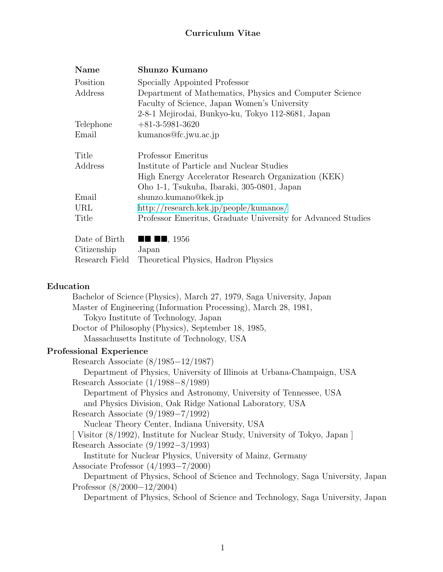# **Curriculum Vitae**

| Name           | Shunzo Kumano                                                |  |  |
|----------------|--------------------------------------------------------------|--|--|
| Position       | Specially Appointed Professor                                |  |  |
| Address        | Department of Mathematics, Physics and Computer Science      |  |  |
|                | Faculty of Science, Japan Women's University                 |  |  |
|                | 2-8-1 Mejirodai, Bunkyo-ku, Tokyo 112-8681, Japan            |  |  |
| Telephone      | $+81-3-5981-3620$                                            |  |  |
| Email          | kumanos@fc.jwu.ac.jp                                         |  |  |
| Title          | Professor Emeritus                                           |  |  |
| Address        | Institute of Particle and Nuclear Studies                    |  |  |
|                | High Energy Accelerator Research Organization (KEK)          |  |  |
|                | Oho 1-1, Tsukuba, Ibaraki, 305-0801, Japan                   |  |  |
| Email          | shunzo.kumano@kek.jp                                         |  |  |
| URL            | $\frac{http://research.kek.jp/people/kumanos/$               |  |  |
| Title          | Professor Emeritus, Graduate University for Advanced Studies |  |  |
| Date of Birth  | $\blacksquare$ $\blacksquare$ , 1956                         |  |  |
| Citizenship    | Japan                                                        |  |  |
| Research Field | Theoretical Physics, Hadron Physics                          |  |  |

#### **Education**

Bachelor of Science (Physics), March 27, 1979, Saga University, Japan Master of Engineering (Information Processing), March 28, 1981, Tokyo Institute of Technology, Japan Doctor of Philosophy (Physics), September 18, 1985, Massachusetts Institute of Technology, USA **Professional Experience** Research Associate (8/1985*−*12/1987) Department of Physics, University of Illinois at Urbana-Champaign, USA Research Associate (1/1988*−*8/1989) Department of Physics and Astronomy, University of Tennessee, USA and Physics Division, Oak Ridge National Laboratory, USA Research Associate (9/1989*−*7/1992) Nuclear Theory Center, Indiana University, USA

[ Visitor (8/1992), Institute for Nuclear Study, University of Tokyo, Japan ] Research Associate (9/1992*−*3/1993)

Institute for Nuclear Physics, University of Mainz, Germany

Associate Professor (4/1993*−*7/2000)

Department of Physics, School of Science and Technology, Saga University, Japan Professor (8/2000*−*12/2004)

Department of Physics, School of Science and Technology, Saga University, Japan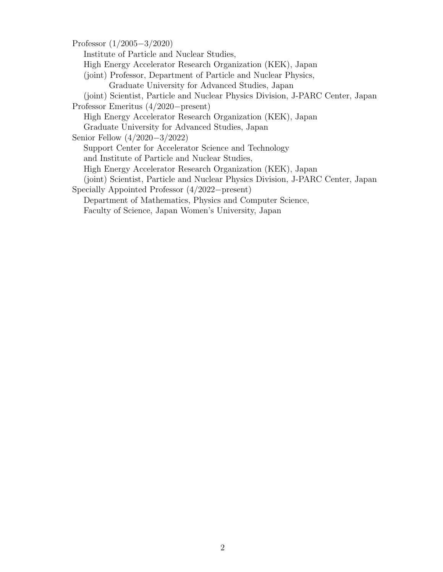Professor (1/2005*−*3/2020)

Institute of Particle and Nuclear Studies,

High Energy Accelerator Research Organization (KEK), Japan

- (joint) Professor, Department of Particle and Nuclear Physics, Graduate University for Advanced Studies, Japan
- (joint) Scientist, Particle and Nuclear Physics Division, J-PARC Center, Japan

Professor Emeritus (4/2020*−*present)

High Energy Accelerator Research Organization (KEK), Japan

Graduate University for Advanced Studies, Japan

Senior Fellow (4/2020*−*3/2022)

Support Center for Accelerator Science and Technology

and Institute of Particle and Nuclear Studies,

High Energy Accelerator Research Organization (KEK), Japan

(joint) Scientist, Particle and Nuclear Physics Division, J-PARC Center, Japan

Specially Appointed Professor (4/2022*−*present)

Department of Mathematics, Physics and Computer Science,

Faculty of Science, Japan Women's University, Japan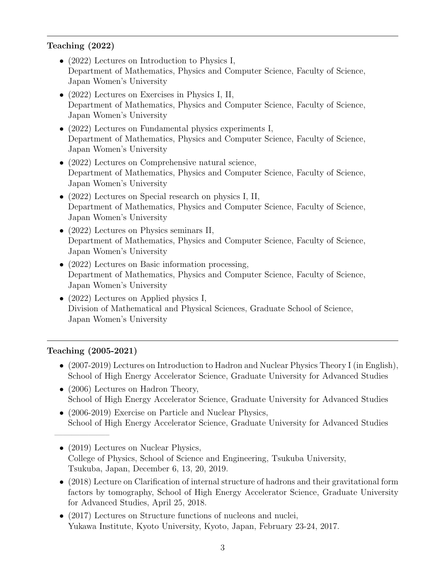# **Teaching (2022)**

- (2022) Lectures on Introduction to Physics I, Department of Mathematics, Physics and Computer Science, Faculty of Science, Japan Women's University
- (2022) Lectures on Exercises in Physics I, II, Department of Mathematics, Physics and Computer Science, Faculty of Science, Japan Women's University
- *•* (2022) Lectures on Fundamental physics experiments I, Department of Mathematics, Physics and Computer Science, Faculty of Science, Japan Women's University
- (2022) Lectures on Comprehensive natural science, Department of Mathematics, Physics and Computer Science, Faculty of Science, Japan Women's University
- *•* (2022) Lectures on Special research on physics I, II, Department of Mathematics, Physics and Computer Science, Faculty of Science, Japan Women's University
- *•* (2022) Lectures on Physics seminars II, Department of Mathematics, Physics and Computer Science, Faculty of Science, Japan Women's University
- (2022) Lectures on Basic information processing, Department of Mathematics, Physics and Computer Science, Faculty of Science, Japan Women's University
- (2022) Lectures on Applied physics I, Division of Mathematical and Physical Sciences, Graduate School of Science, Japan Women's University

# **Teaching (2005-2021)**

——————–

- (2007-2019) Lectures on Introduction to Hadron and Nuclear Physics Theory I (in English), School of High Energy Accelerator Science, Graduate University for Advanced Studies
- (2006) Lectures on Hadron Theory, School of High Energy Accelerator Science, Graduate University for Advanced Studies
- (2006-2019) Exercise on Particle and Nuclear Physics, School of High Energy Accelerator Science, Graduate University for Advanced Studies
- (2019) Lectures on Nuclear Physics, College of Physics, School of Science and Engineering, Tsukuba University, Tsukuba, Japan, December 6, 13, 20, 2019.
- (2018) Lecture on Clarification of internal structure of hadrons and their gravitational form factors by tomography, School of High Energy Accelerator Science, Graduate University for Advanced Studies, April 25, 2018.
- (2017) Lectures on Structure functions of nucleons and nuclei, Yukawa Institute, Kyoto University, Kyoto, Japan, February 23-24, 2017.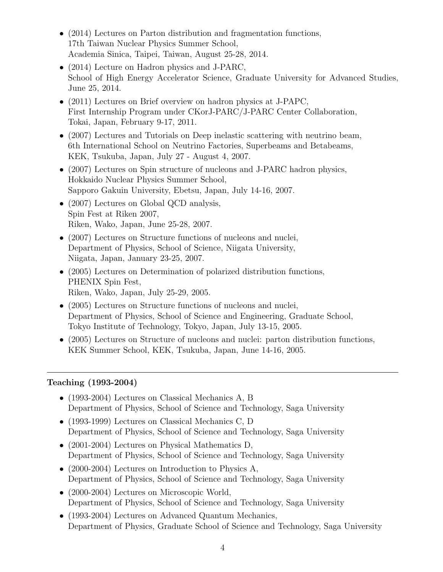- (2014) Lectures on Parton distribution and fragmentation functions, 17th Taiwan Nuclear Physics Summer School, Academia Sinica, Taipei, Taiwan, August 25-28, 2014.
- *•* (2014) Lecture on Hadron physics and J-PARC, School of High Energy Accelerator Science, Graduate University for Advanced Studies, June 25, 2014.
- (2011) Lectures on Brief overview on hadron physics at J-PAPC, First Internship Program under CKorJ-PARC/J-PARC Center Collaboration, Tokai, Japan, February 9-17, 2011.
- (2007) Lectures and Tutorials on Deep inelastic scattering with neutrino beam, 6th International School on Neutrino Factories, Superbeams and Betabeams, KEK, Tsukuba, Japan, July 27 - August 4, 2007.
- (2007) Lectures on Spin structure of nucleons and J-PARC hadron physics, Hokkaido Nuclear Physics Summer School, Sapporo Gakuin University, Ebetsu, Japan, July 14-16, 2007.
- (2007) Lectures on Global QCD analysis, Spin Fest at Riken 2007, Riken, Wako, Japan, June 25-28, 2007.
- (2007) Lectures on Structure functions of nucleons and nuclei, Department of Physics, School of Science, Niigata University, Niigata, Japan, January 23-25, 2007.
- *•* (2005) Lectures on Determination of polarized distribution functions, PHENIX Spin Fest, Riken, Wako, Japan, July 25-29, 2005.
- (2005) Lectures on Structure functions of nucleons and nuclei, Department of Physics, School of Science and Engineering, Graduate School, Tokyo Institute of Technology, Tokyo, Japan, July 13-15, 2005.
- (2005) Lectures on Structure of nucleons and nuclei: parton distribution functions, KEK Summer School, KEK, Tsukuba, Japan, June 14-16, 2005.

## **Teaching (1993-2004)**

- *•* (1993-2004) Lectures on Classical Mechanics A, B Department of Physics, School of Science and Technology, Saga University
- *•* (1993-1999) Lectures on Classical Mechanics C, D Department of Physics, School of Science and Technology, Saga University
- *•* (2001-2004) Lectures on Physical Mathematics D, Department of Physics, School of Science and Technology, Saga University
- *•* (2000-2004) Lectures on Introduction to Physics A, Department of Physics, School of Science and Technology, Saga University
- *•* (2000-2004) Lectures on Microscopic World, Department of Physics, School of Science and Technology, Saga University
- (1993-2004) Lectures on Advanced Quantum Mechanics, Department of Physics, Graduate School of Science and Technology, Saga University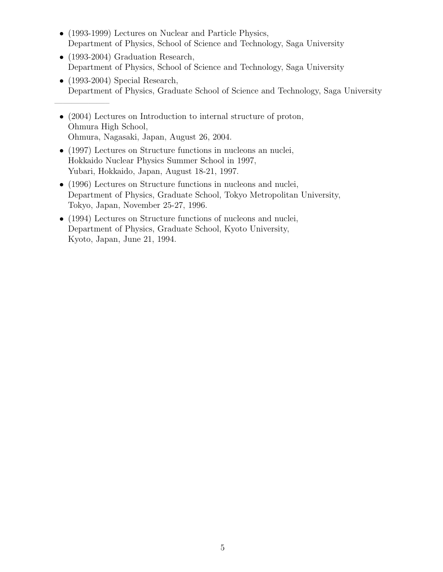- (1993-1999) Lectures on Nuclear and Particle Physics, Department of Physics, School of Science and Technology, Saga University
- (1993-2004) Graduation Research, Department of Physics, School of Science and Technology, Saga University
- (1993-2004) Special Research, Department of Physics, Graduate School of Science and Technology, Saga University
- (2004) Lectures on Introduction to internal structure of proton, Ohmura High School, Ohmura, Nagasaki, Japan, August 26, 2004.

——————–

- (1997) Lectures on Structure functions in nucleons an nuclei, Hokkaido Nuclear Physics Summer School in 1997, Yubari, Hokkaido, Japan, August 18-21, 1997.
- (1996) Lectures on Structure functions in nucleons and nuclei, Department of Physics, Graduate School, Tokyo Metropolitan University, Tokyo, Japan, November 25-27, 1996.
- (1994) Lectures on Structure functions of nucleons and nuclei, Department of Physics, Graduate School, Kyoto University, Kyoto, Japan, June 21, 1994.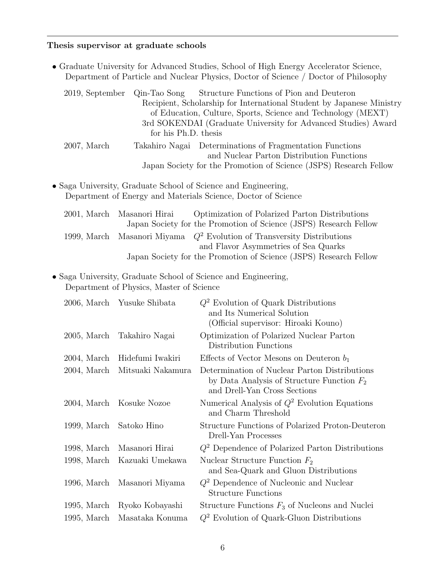# **Thesis supervisor at graduate schools**

|                 |                                          | • Graduate University for Advanced Studies, School of High Energy Accelerator Science,<br>Department of Particle and Nuclear Physics, Doctor of Science / Doctor of Philosophy                                                                     |
|-----------------|------------------------------------------|----------------------------------------------------------------------------------------------------------------------------------------------------------------------------------------------------------------------------------------------------|
| 2019, September | Qin-Tao Song<br>for his Ph.D. thesis     | Structure Functions of Pion and Deuteron<br>Recipient, Scholarship for International Student by Japanese Ministry<br>of Education, Culture, Sports, Science and Technology (MEXT)<br>3rd SOKENDAI (Graduate University for Advanced Studies) Award |
| $2007$ , March  |                                          | Takahiro Nagai Determinations of Fragmentation Functions<br>and Nuclear Parton Distribution Functions<br>Japan Society for the Promotion of Science (JSPS) Research Fellow                                                                         |
|                 |                                          |                                                                                                                                                                                                                                                    |
|                 |                                          | • Saga University, Graduate School of Science and Engineering,<br>Department of Energy and Materials Science, Doctor of Science                                                                                                                    |
| $2001$ , March  | Masanori Hirai                           | Optimization of Polarized Parton Distributions<br>Japan Society for the Promotion of Science (JSPS) Research Fellow                                                                                                                                |
| 1999, March     | Masanori Miyama                          | $Q^2$ Evolution of Transversity Distributions<br>and Flavor Asymmetries of Sea Quarks<br>Japan Society for the Promotion of Science (JSPS) Research Fellow                                                                                         |
|                 | Department of Physics, Master of Science | • Saga University, Graduate School of Science and Engineering,                                                                                                                                                                                     |
|                 | 2006, March Yusuke Shibata               | $Q^2$ Evolution of Quark Distributions<br>and Its Numerical Solution<br>(Official supervisor: Hiroaki Kouno)                                                                                                                                       |
| $2005$ , March  | Takahiro Nagai                           | Optimization of Polarized Nuclear Parton<br>Distribution Functions                                                                                                                                                                                 |
| $2004$ , March  | Hidefumi Iwakiri                         | Effects of Vector Mesons on Deuteron $b_1$                                                                                                                                                                                                         |
| $2004$ , March  | Mitsuaki Nakamura                        | Determination of Nuclear Parton Distributions<br>by Data Analysis of Structure Function $F_2$<br>and Drell-Yan Cross Sections                                                                                                                      |
| $2004$ , March  | Kosuke Nozoe                             | Numerical Analysis of $Q^2$ Evolution Equations<br>and Charm Threshold                                                                                                                                                                             |
| 1999, March     | Satoko Hino                              | Structure Functions of Polarized Proton-Deuteron<br>Drell-Yan Processes                                                                                                                                                                            |
| 1998, March     | Masanori Hirai                           | $Q^2$ Dependence of Polarized Parton Distributions                                                                                                                                                                                                 |
| 1998, March     | Kazuaki Umekawa                          | Nuclear Structure Function $F_2$<br>and Sea-Quark and Gluon Distributions                                                                                                                                                                          |
| $1996$ , March  | Masanori Miyama                          | $Q^2$ Dependence of Nucleonic and Nuclear<br><b>Structure Functions</b>                                                                                                                                                                            |
| $1995$ , March  | Ryoko Kobayashi                          | Structure Functions $F_3$ of Nucleons and Nuclei                                                                                                                                                                                                   |
| $1995$ , March  | Masataka Konuma                          | $Q^2$ Evolution of Quark-Gluon Distributions                                                                                                                                                                                                       |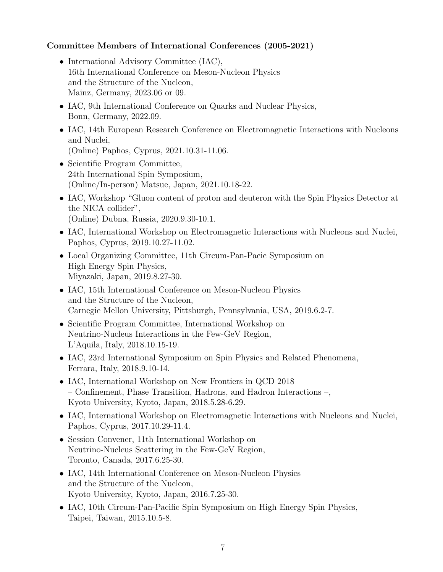### **Committee Members of International Conferences (2005-2021)**

- International Advisory Committee (IAC), 16th International Conference on Meson-Nucleon Physics and the Structure of the Nucleon, Mainz, Germany, 2023.06 or 09.
- IAC, 9th International Conference on Quarks and Nuclear Physics, Bonn, Germany, 2022.09.
- IAC, 14th European Research Conference on Electromagnetic Interactions with Nucleons and Nuclei, (Online) Paphos, Cyprus, 2021.10.31-11.06.
- Scientific Program Committee, 24th International Spin Symposium, (Online/In-person) Matsue, Japan, 2021.10.18-22.
- IAC, Workshop "Gluon content of proton and deuteron with the Spin Physics Detector at the NICA collider", (Online) Dubna, Russia, 2020.9.30-10.1.
- IAC, International Workshop on Electromagnetic Interactions with Nucleons and Nuclei, Paphos, Cyprus, 2019.10.27-11.02.
- *•* Local Organizing Committee, 11th Circum-Pan-Pacic Symposium on High Energy Spin Physics, Miyazaki, Japan, 2019.8.27-30.
- *•* IAC, 15th International Conference on Meson-Nucleon Physics and the Structure of the Nucleon, Carnegie Mellon University, Pittsburgh, Pennsylvania, USA, 2019.6.2-7.
- *•* Scientific Program Committee, International Workshop on Neutrino-Nucleus Interactions in the Few-GeV Region, L'Aquila, Italy, 2018.10.15-19.
- IAC, 23rd International Symposium on Spin Physics and Related Phenomena, Ferrara, Italy, 2018.9.10-14.
- IAC, International Workshop on New Frontiers in QCD 2018 – Confinement, Phase Transition, Hadrons, and Hadron Interactions –, Kyoto University, Kyoto, Japan, 2018.5.28-6.29.
- IAC, International Workshop on Electromagnetic Interactions with Nucleons and Nuclei, Paphos, Cyprus, 2017.10.29-11.4.
- Session Convener, 11th International Workshop on Neutrino-Nucleus Scattering in the Few-GeV Region, Toronto, Canada, 2017.6.25-30.
- *•* IAC, 14th International Conference on Meson-Nucleon Physics and the Structure of the Nucleon, Kyoto University, Kyoto, Japan, 2016.7.25-30.
- IAC, 10th Circum-Pan-Pacific Spin Symposium on High Energy Spin Physics, Taipei, Taiwan, 2015.10.5-8.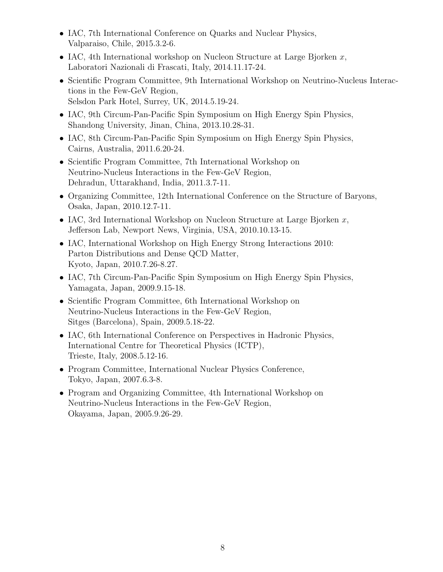- IAC, 7th International Conference on Quarks and Nuclear Physics, Valparaiso, Chile, 2015.3.2-6.
- *•* IAC, 4th International workshop on Nucleon Structure at Large Bjorken *x*, Laboratori Nazionali di Frascati, Italy, 2014.11.17-24.
- *•* Scientific Program Committee, 9th International Workshop on Neutrino-Nucleus Interactions in the Few-GeV Region, Selsdon Park Hotel, Surrey, UK, 2014.5.19-24.
- IAC, 9th Circum-Pan-Pacific Spin Symposium on High Energy Spin Physics, Shandong University, Jinan, China, 2013.10.28-31.
- IAC, 8th Circum-Pan-Pacific Spin Symposium on High Energy Spin Physics, Cairns, Australia, 2011.6.20-24.
- Scientific Program Committee, 7th International Workshop on Neutrino-Nucleus Interactions in the Few-GeV Region, Dehradun, Uttarakhand, India, 2011.3.7-11.
- Organizing Committee, 12th International Conference on the Structure of Baryons, Osaka, Japan, 2010.12.7-11.
- *•* IAC, 3rd International Workshop on Nucleon Structure at Large Bjorken *x*, Jefferson Lab, Newport News, Virginia, USA, 2010.10.13-15.
- IAC, International Workshop on High Energy Strong Interactions 2010: Parton Distributions and Dense QCD Matter, Kyoto, Japan, 2010.7.26-8.27.
- IAC, 7th Circum-Pan-Pacific Spin Symposium on High Energy Spin Physics, Yamagata, Japan, 2009.9.15-18.
- Scientific Program Committee, 6th International Workshop on Neutrino-Nucleus Interactions in the Few-GeV Region, Sitges (Barcelona), Spain, 2009.5.18-22.
- IAC, 6th International Conference on Perspectives in Hadronic Physics, International Centre for Theoretical Physics (ICTP), Trieste, Italy, 2008.5.12-16.
- *•* Program Committee, International Nuclear Physics Conference, Tokyo, Japan, 2007.6.3-8.
- Program and Organizing Committee, 4th International Workshop on Neutrino-Nucleus Interactions in the Few-GeV Region, Okayama, Japan, 2005.9.26-29.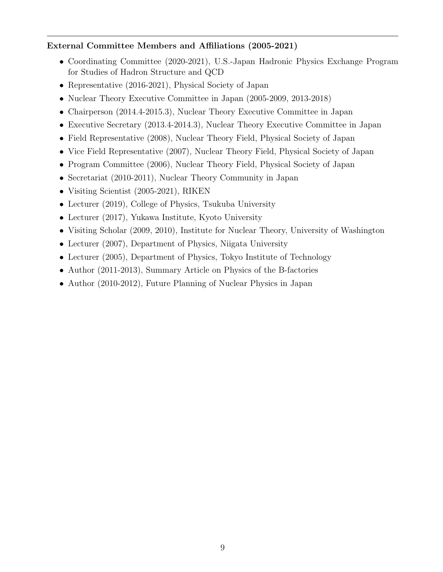## **External Committee Members and Affiliations (2005-2021)**

- Coordinating Committee (2020-2021), U.S.-Japan Hadronic Physics Exchange Program for Studies of Hadron Structure and QCD
- *•* Representative (2016-2021), Physical Society of Japan
- Nuclear Theory Executive Committee in Japan (2005-2009, 2013-2018)
- Chairperson (2014.4-2015.3), Nuclear Theory Executive Committee in Japan
- Executive Secretary (2013.4-2014.3), Nuclear Theory Executive Committee in Japan
- Field Representative (2008), Nuclear Theory Field, Physical Society of Japan
- Vice Field Representative (2007), Nuclear Theory Field, Physical Society of Japan
- Program Committee (2006), Nuclear Theory Field, Physical Society of Japan
- Secretariat (2010-2011), Nuclear Theory Community in Japan
- *•* Visiting Scientist (2005-2021), RIKEN
- Lecturer (2019), College of Physics, Tsukuba University
- Lecturer (2017), Yukawa Institute, Kyoto University
- Visiting Scholar (2009, 2010), Institute for Nuclear Theory, University of Washington
- Lecturer (2007), Department of Physics, Niigata University
- Lecturer (2005), Department of Physics, Tokyo Institute of Technology
- Author (2011-2013), Summary Article on Physics of the B-factories
- Author (2010-2012), Future Planning of Nuclear Physics in Japan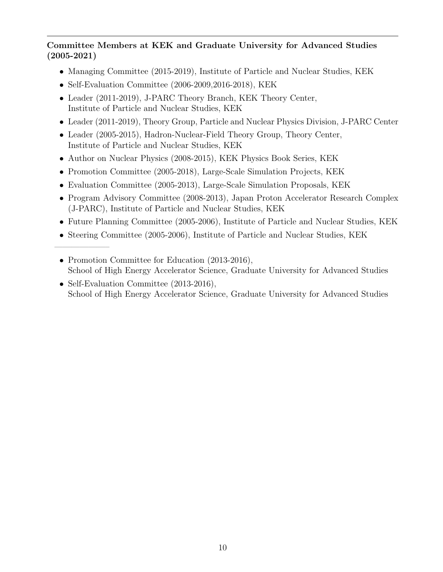# **Committee Members at KEK and Graduate University for Advanced Studies (2005-2021)**

- Managing Committee (2015-2019), Institute of Particle and Nuclear Studies, KEK
- Self-Evaluation Committee (2006-2009,2016-2018), KEK

——————–

- *•* Leader (2011-2019), J-PARC Theory Branch, KEK Theory Center, Institute of Particle and Nuclear Studies, KEK
- *•* Leader (2011-2019), Theory Group, Particle and Nuclear Physics Division, J-PARC Center
- Leader (2005-2015), Hadron-Nuclear-Field Theory Group, Theory Center, Institute of Particle and Nuclear Studies, KEK
- *•* Author on Nuclear Physics (2008-2015), KEK Physics Book Series, KEK
- *•* Promotion Committee (2005-2018), Large-Scale Simulation Projects, KEK
- *•* Evaluation Committee (2005-2013), Large-Scale Simulation Proposals, KEK
- *•* Program Advisory Committee (2008-2013), Japan Proton Accelerator Research Complex (J-PARC), Institute of Particle and Nuclear Studies, KEK
- *•* Future Planning Committee (2005-2006), Institute of Particle and Nuclear Studies, KEK
- Steering Committee (2005-2006), Institute of Particle and Nuclear Studies, KEK
- Promotion Committee for Education (2013-2016), School of High Energy Accelerator Science, Graduate University for Advanced Studies
- Self-Evaluation Committee (2013-2016), School of High Energy Accelerator Science, Graduate University for Advanced Studies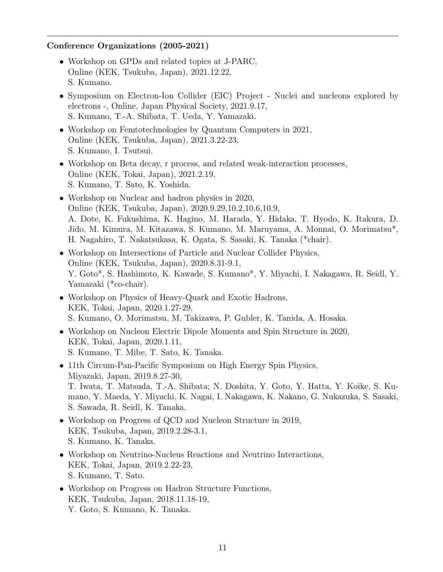### **Conference Organizations (2005-2021)**

- Workshop on GPDs and related topics at J-PARC, Online (KEK, Tsukuba, Japan), 2021.12.22, S. Kumano.
- Symposium on Electron-Ion Collider (EIC) Project Nuclei and nucleons explored by electrons -, Online, Japan Physical Society, 2021.9.17, S. Kumano, T.-A. Shibata, T. Ueda, Y. Yamazaki.
- *•* Workshop on Femtotechnologies by Quantum Computers in 2021, Online (KEK, Tsukuba, Japan), 2021.3.22-23, S. Kumano, I. Tsutsui.
- *•* Workshop on Beta decay, r process, and related weak-interaction processes, Online (KEK, Tokai, Japan), 2021.2.19, S. Kumano, T. Sato, K. Yoshida.
- *•* Workshop on Nuclear and hadron physics in 2020, Online (KEK, Tsukuba, Japan), 2020.9.29,10.2,10.6,10.9, A. Dote, K. Fukushima, K. Hagino, M. Harada, Y. Hidaka, T. Hyodo, K. Itakura, D. Jido, M. Kimura, M. Kitazawa, S. Kumano, M. Maruyama, A. Monnai, O. Morimatsu\*, H. Nagahiro, T. Nakatsukasa, K. Ogata, S. Sasaki, K. Tanaka (\*chair).
- Workshop on Intersections of Particle and Nuclear Collider Physics, Online (KEK, Tsukuba, Japan), 2020.8.31-9.1, Y. Goto\*, S. Hashimoto, K. Kawade, S. Kumano\*, Y. Miyachi, I. Nakagawa, R. Seidl, Y. Yamazaki (\*co-chair).
- *•* Workshop on Physics of Heavy-Quark and Exotic Hadrons, KEK, Tokai, Japan, 2020.1.27-29, S. Kumano, O. Morimatsu, M. Takizawa, P. Gubler, K. Tanida, A. Hosaka.
- Workshop on Nucleon Electric Dipole Moments and Spin Structure in 2020, KEK, Tokai, Japan, 2020.1.11, S. Kumano, T. Mibe, T. Sato, K. Tanaka.
- 11th Circum-Pan-Pacific Symposium on High Energy Spin Physics, Miyazaki, Japan, 2019.8.27-30, T. Iwata, T. Matsuda, T.-A. Shibata; N. Doshita, Y. Goto, Y. Hatta, Y. Koike, S. Kumano, Y. Maeda, Y. Miyachi, K. Nagai, I. Nakagawa, K. Nakano, G. Nukazuka, S. Sasaki, S. Sawada, R. Seidl, K. Tanaka.
- Workshop on Progress of QCD and Nucleon Structure in 2019, KEK, Tsukuba, Japan, 2019.2.28-3.1, S. Kumano, K. Tanaka.
- *•* Workshop on Neutrino-Nucleus Reactions and Neutrino Interactions, KEK, Tokai, Japan, 2019.2.22-23, S. Kumano, T. Sato.
- *•* Workshop on Progress on Hadron Structure Functions, KEK, Tsukuba, Japan, 2018.11.18-19, Y. Goto, S. Kumano, K. Tanaka.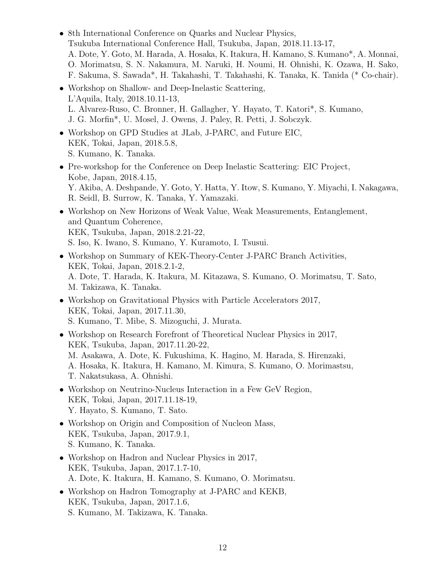- 8th International Conference on Quarks and Nuclear Physics, Tsukuba International Conference Hall, Tsukuba, Japan, 2018.11.13-17, A. Dote, Y. Goto, M. Harada, A. Hosaka, K. Itakura, H. Kamano, S. Kumano\*, A. Monnai, O. Morimatsu, S. N. Nakamura, M. Naruki, H. Noumi, H. Ohnishi, K. Ozawa, H. Sako, F. Sakuma, S. Sawada\*, H. Takahashi, T. Takahashi, K. Tanaka, K. Tanida (\* Co-chair).
- Workshop on Shallow- and Deep-Inelastic Scattering, L'Aquila, Italy, 2018.10.11-13, L. Alvarez-Ruso, C. Bronner, H. Gallagher, Y. Hayato, T. Katori\*, S. Kumano, J. G. Morfin\*, U. Mosel, J. Owens, J. Paley, R. Petti, J. Sobczyk.
- *•* Workshop on GPD Studies at JLab, J-PARC, and Future EIC, KEK, Tokai, Japan, 2018.5.8, S. Kumano, K. Tanaka.
- *•* Pre-workshop for the Conference on Deep Inelastic Scattering: EIC Project, Kobe, Japan, 2018.4.15, Y. Akiba, A. Deshpande, Y. Goto, Y. Hatta, Y. Itow, S. Kumano, Y. Miyachi, I. Nakagawa, R. Seidl, B. Surrow, K. Tanaka, Y. Yamazaki.
- Workshop on New Horizons of Weak Value, Weak Measurements, Entanglement, and Quantum Coherence, KEK, Tsukuba, Japan, 2018.2.21-22, S. Iso, K. Iwano, S. Kumano, Y. Kuramoto, I. Tsusui.
- *•* Workshop on Summary of KEK-Theory-Center J-PARC Branch Activities, KEK, Tokai, Japan, 2018.2.1-2, A. Dote, T. Harada, K. Itakura, M. Kitazawa, S. Kumano, O. Morimatsu, T. Sato, M. Takizawa, K. Tanaka.
- Workshop on Gravitational Physics with Particle Accelerators 2017, KEK, Tokai, Japan, 2017.11.30, S. Kumano, T. Mibe, S. Mizoguchi, J. Murata.
- Workshop on Research Forefront of Theoretical Nuclear Physics in 2017, KEK, Tsukuba, Japan, 2017.11.20-22, M. Asakawa, A. Dote, K. Fukushima, K. Hagino, M. Harada, S. Hirenzaki, A. Hosaka, K. Itakura, H. Kamano, M. Kimura, S. Kumano, O. Morimastsu, T. Nakatsukasa, A. Ohnishi.
- *•* Workshop on Neutrino-Nucleus Interaction in a Few GeV Region, KEK, Tokai, Japan, 2017.11.18-19, Y. Hayato, S. Kumano, T. Sato.
- Workshop on Origin and Composition of Nucleon Mass, KEK, Tsukuba, Japan, 2017.9.1, S. Kumano, K. Tanaka.
- *•* Workshop on Hadron and Nuclear Physics in 2017, KEK, Tsukuba, Japan, 2017.1.7-10, A. Dote, K. Itakura, H. Kamano, S. Kumano, O. Morimatsu.
- *•* Workshop on Hadron Tomography at J-PARC and KEKB, KEK, Tsukuba, Japan, 2017.1.6, S. Kumano, M. Takizawa, K. Tanaka.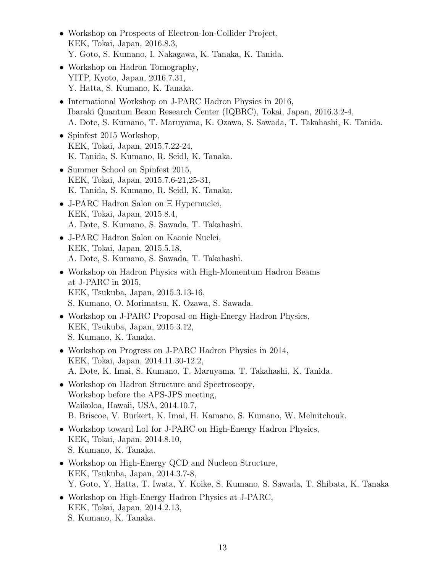- Workshop on Prospects of Electron-Ion-Collider Project, KEK, Tokai, Japan, 2016.8.3, Y. Goto, S. Kumano, I. Nakagawa, K. Tanaka, K. Tanida.
- Workshop on Hadron Tomography, YITP, Kyoto, Japan, 2016.7.31, Y. Hatta, S. Kumano, K. Tanaka.
- *•* International Workshop on J-PARC Hadron Physics in 2016, Ibaraki Quantum Beam Research Center (IQBRC), Tokai, Japan, 2016.3.2-4, A. Dote, S. Kumano, T. Maruyama, K. Ozawa, S. Sawada, T. Takahashi, K. Tanida.
- *•* Spinfest 2015 Workshop, KEK, Tokai, Japan, 2015.7.22-24, K. Tanida, S. Kumano, R. Seidl, K. Tanaka.
- Summer School on Spinfest 2015, KEK, Tokai, Japan, 2015.7.6-21,25-31, K. Tanida, S. Kumano, R. Seidl, K. Tanaka.
- *•* J-PARC Hadron Salon on Ξ Hypernuclei, KEK, Tokai, Japan, 2015.8.4, A. Dote, S. Kumano, S. Sawada, T. Takahashi.
- *•* J-PARC Hadron Salon on Kaonic Nuclei, KEK, Tokai, Japan, 2015.5.18, A. Dote, S. Kumano, S. Sawada, T. Takahashi.
- *•* Workshop on Hadron Physics with High-Momentum Hadron Beams at J-PARC in 2015, KEK, Tsukuba, Japan, 2015.3.13-16, S. Kumano, O. Morimatsu, K. Ozawa, S. Sawada.
- Workshop on J-PARC Proposal on High-Energy Hadron Physics, KEK, Tsukuba, Japan, 2015.3.12, S. Kumano, K. Tanaka.
- *•* Workshop on Progress on J-PARC Hadron Physics in 2014, KEK, Tokai, Japan, 2014.11.30-12.2, A. Dote, K. Imai, S. Kumano, T. Maruyama, T. Takahashi, K. Tanida.
- Workshop on Hadron Structure and Spectroscopy, Workshop before the APS-JPS meeting, Waikoloa, Hawaii, USA, 2014.10.7, B. Briscoe, V. Burkert, K. Imai, H. Kamano, S. Kumano, W. Melnitchouk.
- *•* Workshop toward LoI for J-PARC on High-Energy Hadron Physics, KEK, Tokai, Japan, 2014.8.10, S. Kumano, K. Tanaka.
- Workshop on High-Energy QCD and Nucleon Structure, KEK, Tsukuba, Japan, 2014.3.7-8, Y. Goto, Y. Hatta, T. Iwata, Y. Koike, S. Kumano, S. Sawada, T. Shibata, K. Tanaka
- *•* Workshop on High-Energy Hadron Physics at J-PARC, KEK, Tokai, Japan, 2014.2.13, S. Kumano, K. Tanaka.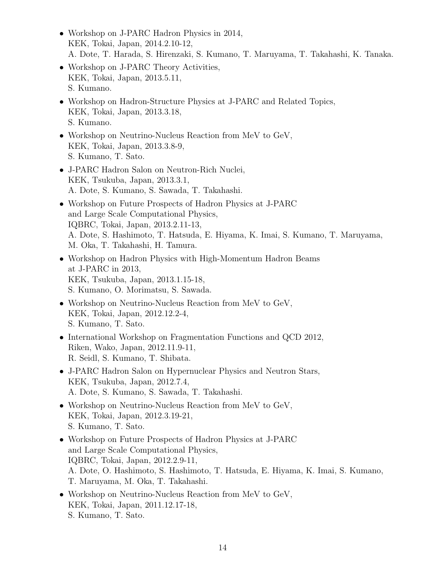- Workshop on J-PARC Hadron Physics in 2014, KEK, Tokai, Japan, 2014.2.10-12, A. Dote, T. Harada, S. Hirenzaki, S. Kumano, T. Maruyama, T. Takahashi, K. Tanaka.
- Workshop on J-PARC Theory Activities, KEK, Tokai, Japan, 2013.5.11, S. Kumano.
- Workshop on Hadron-Structure Physics at J-PARC and Related Topics, KEK, Tokai, Japan, 2013.3.18, S. Kumano.
- *•* Workshop on Neutrino-Nucleus Reaction from MeV to GeV, KEK, Tokai, Japan, 2013.3.8-9, S. Kumano, T. Sato.
- *•* J-PARC Hadron Salon on Neutron-Rich Nuclei, KEK, Tsukuba, Japan, 2013.3.1, A. Dote, S. Kumano, S. Sawada, T. Takahashi.
- *•* Workshop on Future Prospects of Hadron Physics at J-PARC and Large Scale Computational Physics, IQBRC, Tokai, Japan, 2013.2.11-13, A. Dote, S. Hashimoto, T. Hatsuda, E. Hiyama, K. Imai, S. Kumano, T. Maruyama, M. Oka, T. Takahashi, H. Tamura.
- *•* Workshop on Hadron Physics with High-Momentum Hadron Beams at J-PARC in 2013, KEK, Tsukuba, Japan, 2013.1.15-18, S. Kumano, O. Morimatsu, S. Sawada.
- *•* Workshop on Neutrino-Nucleus Reaction from MeV to GeV, KEK, Tokai, Japan, 2012.12.2-4, S. Kumano, T. Sato.
- *•* International Workshop on Fragmentation Functions and QCD 2012, Riken, Wako, Japan, 2012.11.9-11, R. Seidl, S. Kumano, T. Shibata.
- *•* J-PARC Hadron Salon on Hypernuclear Physics and Neutron Stars, KEK, Tsukuba, Japan, 2012.7.4, A. Dote, S. Kumano, S. Sawada, T. Takahashi.
- *•* Workshop on Neutrino-Nucleus Reaction from MeV to GeV, KEK, Tokai, Japan, 2012.3.19-21, S. Kumano, T. Sato.
- *•* Workshop on Future Prospects of Hadron Physics at J-PARC and Large Scale Computational Physics, IQBRC, Tokai, Japan, 2012.2.9-11, A. Dote, O. Hashimoto, S. Hashimoto, T. Hatsuda, E. Hiyama, K. Imai, S. Kumano, T. Maruyama, M. Oka, T. Takahashi.
- *•* Workshop on Neutrino-Nucleus Reaction from MeV to GeV, KEK, Tokai, Japan, 2011.12.17-18, S. Kumano, T. Sato.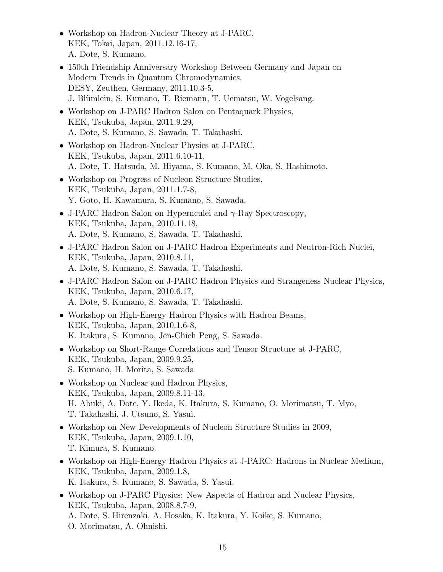- Workshop on Hadron-Nuclear Theory at J-PARC, KEK, Tokai, Japan, 2011.12.16-17, A. Dote, S. Kumano.
- *•* 150th Friendship Anniversary Workshop Between Germany and Japan on Modern Trends in Quantum Chromodynamics, DESY, Zeuthen, Germany, 2011.10.3-5, J. Blümlein, S. Kumano, T. Riemann, T. Uematsu, W. Vogelsang.
- *•* Workshop on J-PARC Hadron Salon on Pentaquark Physics, KEK, Tsukuba, Japan, 2011.9.29, A. Dote, S. Kumano, S. Sawada, T. Takahashi.
- Workshop on Hadron-Nuclear Physics at J-PARC, KEK, Tsukuba, Japan, 2011.6.10-11, A. Dote, T. Hatsuda, M. Hiyama, S. Kumano, M. Oka, S. Hashimoto.
- Workshop on Progress of Nucleon Structure Studies, KEK, Tsukuba, Japan, 2011.1.7-8, Y. Goto, H. Kawamura, S. Kumano, S. Sawada.
- *•* J-PARC Hadron Salon on Hypernculei and *γ*-Ray Spectroscopy, KEK, Tsukuba, Japan, 2010.11.18, A. Dote, S. Kumano, S. Sawada, T. Takahashi.
- *•* J-PARC Hadron Salon on J-PARC Hadron Experiments and Neutron-Rich Nuclei, KEK, Tsukuba, Japan, 2010.8.11, A. Dote, S. Kumano, S. Sawada, T. Takahashi.
- *•* J-PARC Hadron Salon on J-PARC Hadron Physics and Strangeness Nuclear Physics, KEK, Tsukuba, Japan, 2010.6.17, A. Dote, S. Kumano, S. Sawada, T. Takahashi.
- Workshop on High-Energy Hadron Physics with Hadron Beams, KEK, Tsukuba, Japan, 2010.1.6-8, K. Itakura, S. Kumano, Jen-Chieh Peng, S. Sawada.
- *•* Workshop on Short-Range Correlations and Tensor Structure at J-PARC, KEK, Tsukuba, Japan, 2009.9.25, S. Kumano, H. Morita, S. Sawada
- Workshop on Nuclear and Hadron Physics, KEK, Tsukuba, Japan, 2009.8.11-13, H. Abuki, A. Dote, Y. Ikeda, K. Itakura, S. Kumano, O. Morimatsu, T. Myo, T. Takahashi, J. Utsuno, S. Yasui.
- Workshop on New Developments of Nucleon Structure Studies in 2009, KEK, Tsukuba, Japan, 2009.1.10, T. Kimura, S. Kumano.
- Workshop on High-Energy Hadron Physics at J-PARC: Hadrons in Nuclear Medium, KEK, Tsukuba, Japan, 2009.1.8, K. Itakura, S. Kumano, S. Sawada, S. Yasui.
- Workshop on J-PARC Physics: New Aspects of Hadron and Nuclear Physics, KEK, Tsukuba, Japan, 2008.8.7-9, A. Dote, S. Hirenzaki, A. Hosaka, K. Itakura, Y. Koike, S. Kumano, O. Morimatsu, A. Ohnishi.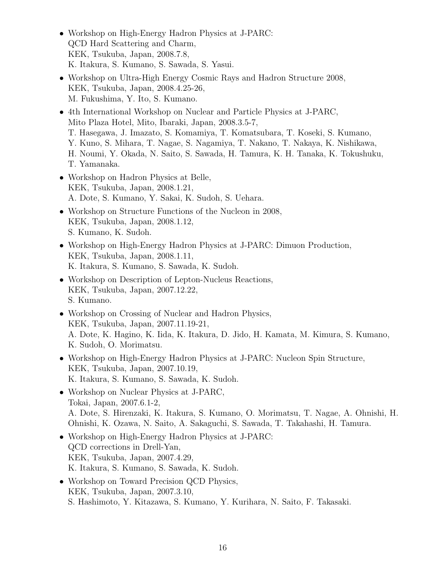- *•* Workshop on High-Energy Hadron Physics at J-PARC: QCD Hard Scattering and Charm, KEK, Tsukuba, Japan, 2008.7.8, K. Itakura, S. Kumano, S. Sawada, S. Yasui.
- Workshop on Ultra-High Energy Cosmic Rays and Hadron Structure 2008, KEK, Tsukuba, Japan, 2008.4.25-26, M. Fukushima, Y. Ito, S. Kumano.
- 4th International Workshop on Nuclear and Particle Physics at J-PARC, Mito Plaza Hotel, Mito, Ibaraki, Japan, 2008.3.5-7, T. Hasegawa, J. Imazato, S. Komamiya, T. Komatsubara, T. Koseki, S. Kumano, Y. Kuno, S. Mihara, T. Nagae, S. Nagamiya, T. Nakano, T. Nakaya, K. Nishikawa, H. Noumi, Y. Okada, N. Saito, S. Sawada, H. Tamura, K. H. Tanaka, K. Tokushuku, T. Yamanaka.
- *•* Workshop on Hadron Physics at Belle, KEK, Tsukuba, Japan, 2008.1.21, A. Dote, S. Kumano, Y. Sakai, K. Sudoh, S. Uehara.
- Workshop on Structure Functions of the Nucleon in 2008, KEK, Tsukuba, Japan, 2008.1.12, S. Kumano, K. Sudoh.
- Workshop on High-Energy Hadron Physics at J-PARC: Dimuon Production, KEK, Tsukuba, Japan, 2008.1.11, K. Itakura, S. Kumano, S. Sawada, K. Sudoh.
- *•* Workshop on Description of Lepton-Nucleus Reactions, KEK, Tsukuba, Japan, 2007.12.22, S. Kumano.
- Workshop on Crossing of Nuclear and Hadron Physics, KEK, Tsukuba, Japan, 2007.11.19-21, A. Dote, K. Hagino, K. Iida, K. Itakura, D. Jido, H. Kamata, M. Kimura, S. Kumano, K. Sudoh, O. Morimatsu.
- Workshop on High-Energy Hadron Physics at J-PARC: Nucleon Spin Structure, KEK, Tsukuba, Japan, 2007.10.19, K. Itakura, S. Kumano, S. Sawada, K. Sudoh.
- Workshop on Nuclear Physics at J-PARC, Tokai, Japan, 2007.6.1-2, A. Dote, S. Hirenzaki, K. Itakura, S. Kumano, O. Morimatsu, T. Nagae, A. Ohnishi, H. Ohnishi, K. Ozawa, N. Saito, A. Sakaguchi, S. Sawada, T. Takahashi, H. Tamura.
- *•* Workshop on High-Energy Hadron Physics at J-PARC: QCD corrections in Drell-Yan, KEK, Tsukuba, Japan, 2007.4.29, K. Itakura, S. Kumano, S. Sawada, K. Sudoh.
- Workshop on Toward Precision QCD Physics, KEK, Tsukuba, Japan, 2007.3.10, S. Hashimoto, Y. Kitazawa, S. Kumano, Y. Kurihara, N. Saito, F. Takasaki.